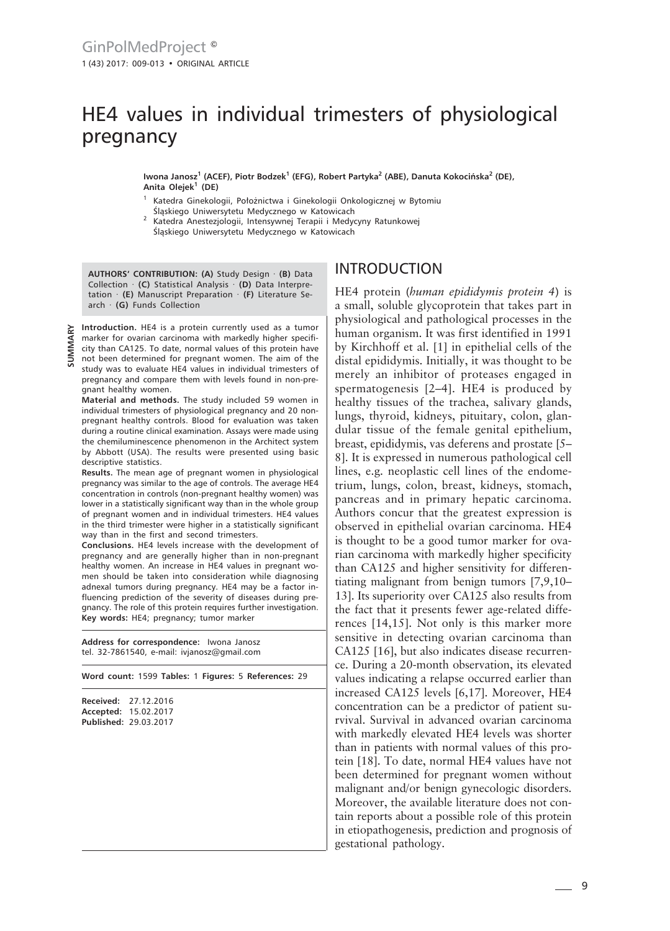# HE4 values in individual trimesters of physiological pregnancy

**Iwona Janosz<sup>1</sup> (ACEF), Piotr Bodzek<sup>1</sup> (EFG), Robert Partyka<sup>2</sup> (ABE), Danuta Kokocińska<sup>2</sup> (DE), Anita Olejek<sup>1</sup> (DE)**

- Katedra Ginekologii, Położnictwa i Ginekologii Onkologicznej w Bytomiu Śląskiego Uniwersytetu Medycznego w Katowicach
- <sup>2</sup> Katedra Anestezjologii, Intensywnej Terapii i Medycyny Ratunkowej Śląskiego Uniwersytetu Medycznego w Katowicach

**AUTHORS' CONTRIBUTION: (A)** Study Design · **(B)** Data Collection · **(C)** Statistical Analysis · **(D)** Data Interpretation · **(E)** Manuscript Preparation · **(F)** Literature Search · **(G)** Funds Collection

**Introduction.** HE4 is a protein currently used as a tumor marker for ovarian carcinoma with markedly higher specificity than CA125. To date, normal values of this protein have not been determined for pregnant women. The aim of the study was to evaluate HE4 values in individual trimesters of pregnancy and compare them with levels found in non-pregnant healthy women.

**SUMMARY**

**Material and methods.** The study included 59 women in individual trimesters of physiological pregnancy and 20 nonpregnant healthy controls. Blood for evaluation was taken during a routine clinical examination. Assays were made using the chemiluminescence phenomenon in the Architect system by Abbott (USA). The results were presented using basic descriptive statistics.

**Results.** The mean age of pregnant women in physiological pregnancy was similar to the age of controls. The average HE4 concentration in controls (non-pregnant healthy women) was lower in a statistically significant way than in the whole group of pregnant women and in individual trimesters. HE4 values in the third trimester were higher in a statistically significant way than in the first and second trimesters.

**Conclusions.** HE4 levels increase with the development of pregnancy and are generally higher than in non-pregnant healthy women. An increase in HE4 values in pregnant women should be taken into consideration while diagnosing adnexal tumors during pregnancy. HE4 may be a factor influencing prediction of the severity of diseases during pregnancy. The role of this protein requires further investigation. **Key words:** HE4; pregnancy; tumor marker

**Address for correspondence:** Iwona Janosz tel. 32-7861540, e-mail: ivjanosz@gmail.com

**Word count:** 1599 **Tables:** 1 **Figures:** 5 **References:** 29

| <b>Received:</b> | 27.12.2016            |
|------------------|-----------------------|
|                  | Accepted: 15.02.2017  |
|                  | Published: 29.03.2017 |

# INTRODUCTION

HE4 protein (*human epididymis protein 4*) is a small, soluble glycoprotein that takes part in physiological and pathological processes in the human organism. It was first identified in 1991 by Kirchhoff et al. [1] in epithelial cells of the distal epididymis. Initially, it was thought to be merely an inhibitor of proteases engaged in spermatogenesis [2–4]. HE4 is produced by healthy tissues of the trachea, salivary glands, lungs, thyroid, kidneys, pituitary, colon, glandular tissue of the female genital epithelium, breast, epididymis, vas deferens and prostate [5– 8]. It is expressed in numerous pathological cell lines, e.g. neoplastic cell lines of the endometrium, lungs, colon, breast, kidneys, stomach, pancreas and in primary hepatic carcinoma. Authors concur that the greatest expression is observed in epithelial ovarian carcinoma. HE4 is thought to be a good tumor marker for ovarian carcinoma with markedly higher specificity than CA125 and higher sensitivity for differentiating malignant from benign tumors [7,9,10– 13]. Its superiority over CA125 also results from the fact that it presents fewer age-related differences [14,15]. Not only is this marker more sensitive in detecting ovarian carcinoma than CA125 [16], but also indicates disease recurrence. During a 20-month observation, its elevated values indicating a relapse occurred earlier than increased CA125 levels [6,17]. Moreover, HE4 concentration can be a predictor of patient survival. Survival in advanced ovarian carcinoma with markedly elevated HE4 levels was shorter than in patients with normal values of this protein [18]. To date, normal HE4 values have not been determined for pregnant women without malignant and/or benign gynecologic disorders. Moreover, the available literature does not contain reports about a possible role of this protein in etiopathogenesis, prediction and prognosis of gestational pathology.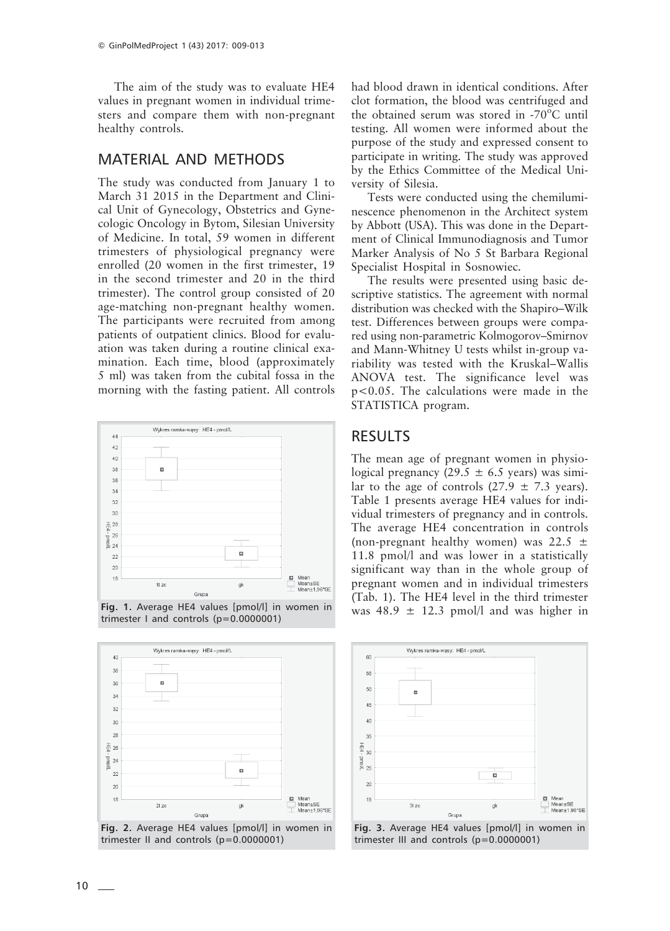The aim of the study was to evaluate HE4 values in pregnant women in individual trimesters and compare them with non-pregnant healthy controls.

## MATERIAL AND METHODS

The study was conducted from January 1 to March 31 2015 in the Department and Clinical Unit of Gynecology, Obstetrics and Gynecologic Oncology in Bytom, Silesian University of Medicine. In total, 59 women in different trimesters of physiological pregnancy were enrolled (20 women in the first trimester, 19 in the second trimester and 20 in the third trimester). The control group consisted of 20 age-matching non-pregnant healthy women. The participants were recruited from among patients of outpatient clinics. Blood for evaluation was taken during a routine clinical examination. Each time, blood (approximately 5 ml) was taken from the cubital fossa in the morning with the fasting patient. All controls



**Fig. 1.** Average HE4 values [pmol/l] in women in trimester I and controls (p=0.0000001)



**Fig. 2.** Average HE4 values [pmol/l] in women in trimester II and controls (p=0.0000001)

had blood drawn in identical conditions. After clot formation, the blood was centrifuged and the obtained serum was stored in -70 $^{\circ}$ C until testing. All women were informed about the purpose of the study and expressed consent to participate in writing. The study was approved by the Ethics Committee of the Medical University of Silesia.

Tests were conducted using the chemiluminescence phenomenon in the Architect system by Abbott (USA). This was done in the Department of Clinical Immunodiagnosis and Tumor Marker Analysis of No 5 St Barbara Regional Specialist Hospital in Sosnowiec.

The results were presented using basic descriptive statistics. The agreement with normal distribution was checked with the Shapiro–Wilk test. Differences between groups were compared using non-parametric Kolmogorov–Smirnov and Mann-Whitney U tests whilst in-group variability was tested with the Kruskal–Wallis ANOVA test. The significance level was p<0.05. The calculations were made in the STATISTICA program.

## RESULTS

The mean age of pregnant women in physiological pregnancy (29.5  $\pm$  6.5 years) was similar to the age of controls  $(27.9 \pm 7.3 \text{ years})$ . Table 1 presents average HE4 values for individual trimesters of pregnancy and in controls. The average HE4 concentration in controls (non-pregnant healthy women) was  $22.5 \pm$ 11.8 pmol/l and was lower in a statistically significant way than in the whole group of pregnant women and in individual trimesters (Tab. 1). The HE4 level in the third trimester was  $48.9 \pm 12.3$  pmol/l and was higher in



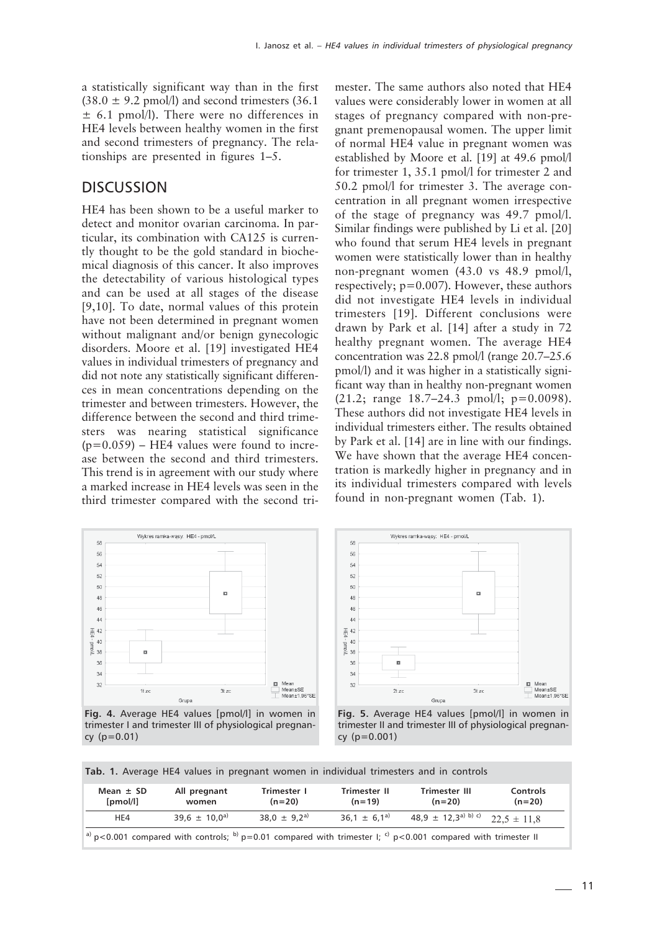a statistically significant way than in the first  $(38.0 \pm 9.2 \text{ pmol/l})$  and second trimesters  $(36.1 \text{ m})$  $\pm$  6.1 pmol/l). There were no differences in HE4 levels between healthy women in the first and second trimesters of pregnancy. The relationships are presented in figures 1–5.

#### **DISCUSSION**

HE4 has been shown to be a useful marker to detect and monitor ovarian carcinoma. In particular, its combination with CA125 is currently thought to be the gold standard in biochemical diagnosis of this cancer. It also improves the detectability of various histological types and can be used at all stages of the disease [9,10]. To date, normal values of this protein have not been determined in pregnant women without malignant and/or benign gynecologic disorders. Moore et al. [19] investigated HE4 values in individual trimesters of pregnancy and did not note any statistically significant differences in mean concentrations depending on the trimester and between trimesters. However, the difference between the second and third trimesters was nearing statistical significance  $(p=0.059)$  – HE4 values were found to increase between the second and third trimesters. This trend is in agreement with our study where a marked increase in HE4 levels was seen in the third trimester compared with the second trimester. The same authors also noted that HE4 values were considerably lower in women at all stages of pregnancy compared with non-pregnant premenopausal women. The upper limit of normal HE4 value in pregnant women was established by Moore et al. [19] at 49.6 pmol/l for trimester 1, 35.1 pmol/l for trimester 2 and 50.2 pmol/l for trimester 3. The average concentration in all pregnant women irrespective of the stage of pregnancy was 49.7 pmol/l. Similar findings were published by Li et al. [20] who found that serum HE4 levels in pregnant women were statistically lower than in healthy non-pregnant women (43.0 vs 48.9 pmol/l, respectively; p=0.007). However, these authors did not investigate HE4 levels in individual trimesters [19]. Different conclusions were drawn by Park et al. [14] after a study in 72 healthy pregnant women. The average HE4 concentration was 22.8 pmol/l (range 20.7–25.6 pmol/l) and it was higher in a statistically significant way than in healthy non-pregnant women  $(21.2; \text{ range } 18.7-24.3 \text{ pmol/l}; \text{p}=0.0098).$ These authors did not investigate HE4 levels in individual trimesters either. The results obtained by Park et al. [14] are in line with our findings. We have shown that the average HE4 concentration is markedly higher in pregnancy and in its individual trimesters compared with levels found in non-pregnant women (Tab. 1).



**Fig. 4.** Average HE4 values [pmol/l] in women in trimester I and trimester III of physiological pregnancy (p=0.01)



**Fig. 5.** Average HE4 values [pmol/l] in women in trimester II and trimester III of physiological pregnancy (p=0.001)

**Tab. 1.** Average HE4 values in pregnant women in individual trimesters and in controls

| Mean $\pm$ SD<br>[pmol/l]                                                                                     | All pregnant<br>women | Trimester 1<br>$(n=20)$ | Trimester II<br>$(n=19)$ | Trimester III<br>$(n=20)$                          | Controls<br>$(n=20)$ |  |
|---------------------------------------------------------------------------------------------------------------|-----------------------|-------------------------|--------------------------|----------------------------------------------------|----------------------|--|
| HE4                                                                                                           | $39.6 \pm 10.0^{a}$   | $38.0 \pm 9.2^{a}$      | $36.1 \pm 6.1^{a}$       | 48,9 $\pm$ 12,3 <sup>a) b) c</sup> 22.5 $\pm$ 11.8 |                      |  |
| a) p<0.001 compared with controls; b) p=0.01 compared with trimester I; c) p<0.001 compared with trimester II |                       |                         |                          |                                                    |                      |  |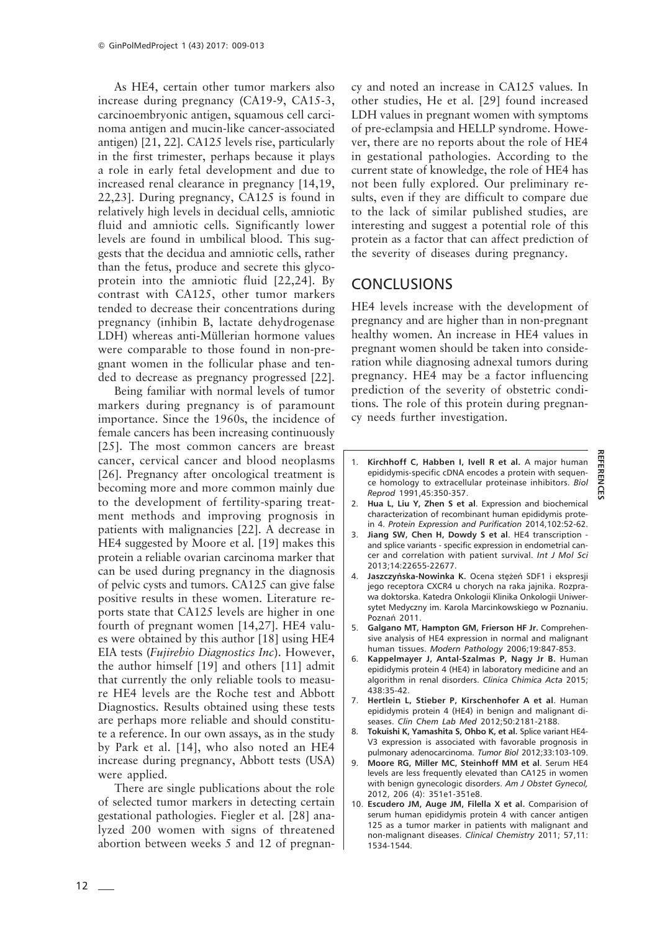As HE4, certain other tumor markers also increase during pregnancy (CA19-9, CA15-3, carcinoembryonic antigen, squamous cell carcinoma antigen and mucin-like cancer-associated antigen) [21, 22]. CA125 levels rise, particularly in the first trimester, perhaps because it plays a role in early fetal development and due to increased renal clearance in pregnancy [14,19, 22,23]. During pregnancy, CA125 is found in relatively high levels in decidual cells, amniotic fluid and amniotic cells. Significantly lower levels are found in umbilical blood. This suggests that the decidua and amniotic cells, rather than the fetus, produce and secrete this glycoprotein into the amniotic fluid [22,24]. By contrast with CA125, other tumor markers tended to decrease their concentrations during pregnancy (inhibin B, lactate dehydrogenase LDH) whereas anti-Müllerian hormone values were comparable to those found in non-pregnant women in the follicular phase and tended to decrease as pregnancy progressed [22].

Being familiar with normal levels of tumor markers during pregnancy is of paramount importance. Since the 1960s, the incidence of female cancers has been increasing continuously [25]. The most common cancers are breast cancer, cervical cancer and blood neoplasms [26]. Pregnancy after oncological treatment is becoming more and more common mainly due to the development of fertility-sparing treatment methods and improving prognosis in patients with malignancies [22]. A decrease in HE4 suggested by Moore et al. [19] makes this protein a reliable ovarian carcinoma marker that can be used during pregnancy in the diagnosis of pelvic cysts and tumors. CA125 can give false positive results in these women. Literature reports state that CA125 levels are higher in one fourth of pregnant women [14,27]. HE4 values were obtained by this author [18] using HE4 EIA tests (*Fujirebio Diagnostics Inc*). However, the author himself [19] and others [11] admit that currently the only reliable tools to measure HE4 levels are the Roche test and Abbott Diagnostics. Results obtained using these tests are perhaps more reliable and should constitute a reference. In our own assays, as in the study by Park et al. [14], who also noted an HE4 increase during pregnancy, Abbott tests (USA) were applied.

There are single publications about the role of selected tumor markers in detecting certain gestational pathologies. Fiegler et al. [28] analyzed 200 women with signs of threatened abortion between weeks 5 and 12 of pregnancy and noted an increase in CA125 values. In other studies, He et al. [29] found increased LDH values in pregnant women with symptoms of pre-eclampsia and HELLP syndrome. However, there are no reports about the role of HE4 in gestational pathologies. According to the current state of knowledge, the role of HE4 has not been fully explored. Our preliminary results, even if they are difficult to compare due to the lack of similar published studies, are interesting and suggest a potential role of this protein as a factor that can affect prediction of the severity of diseases during pregnancy.

#### **CONCLUSIONS**

HE4 levels increase with the development of pregnancy and are higher than in non-pregnant healthy women. An increase in HE4 values in pregnant women should be taken into consideration while diagnosing adnexal tumors during pregnancy. HE4 may be a factor influencing prediction of the severity of obstetric conditions. The role of this protein during pregnancy needs further investigation.

1. **Kirchhoff C, Habben I, Ivell R et al.** A major human epididymis-specific cDNA encodes a protein with sequence homology to extracellular proteinase inhibitors. *Biol Reprod* 1991,45:350-357.

**REFERENCES**

**REFERENCES** 

- 2. **Hua L, Liu Y, Zhen S et al**. Expression and biochemical characterization of recombinant human epididymis protein 4. *Protein Expression and Purification* 2014,102:52-62.
- 3. **Jiang SW, Chen H, Dowdy S et al**. HE4 transcription and splice variants - specific expression in endometrial cancer and correlation with patient survival. *Int J Mol Sci* 2013;14:22655-22677.
- 4. **Jaszczyńska-Nowinka K.** Ocena stężeń SDF1 i ekspresji jego receptora CXCR4 u chorych na raka jajnika. Rozprawa doktorska. Katedra Onkologii Klinika Onkologii Uniwersytet Medyczny im. Karola Marcinkowskiego w Poznaniu. Poznań 2011.
- 5. **Galgano MT, Hampton GM, Frierson HF Jr.** Comprehensive analysis of HE4 expression in normal and malignant human tissues. *Modern Pathology* 2006;19:847-853.
- 6. **Kappelmayer J, Antal-Szalmas P, Nagy Jr B.** Human epididymis protein 4 (HE4) in laboratory medicine and an algorithm in renal disorders. *Clinica Chimica Acta* 2015; 438:35-42.
- 7. **Hertlein L, Stieber P, Kirschenhofer A et al**. Human epididymis protein 4 (HE4) in benign and malignant diseases. *Clin Chem Lab Med* 2012;50:2181-2188.
- 8. **Tokuishi K, Yamashita S, Ohbo K, et al.** Splice variant HE4- V3 expression is associated with favorable prognosis in pulmonary adenocarcinoma. *Tumor Biol* 2012;33:103-109.
- 9. **Moore RG, Miller MC, Steinhoff MM et al**. Serum HE4 levels are less frequently elevated than CA125 in women with benign gynecologic disorders. *Am J Obstet Gynecol,* 2012, 206 (4): 351e1-351e8.
- 10. **Escudero JM, Auge JM, Filella X et al.** Comparision of serum human epididymis protein 4 with cancer antigen 125 as a tumor marker in patients with malignant and non-malignant diseases. *Clinical Chemistry* 2011; 57,11: 1534-1544.